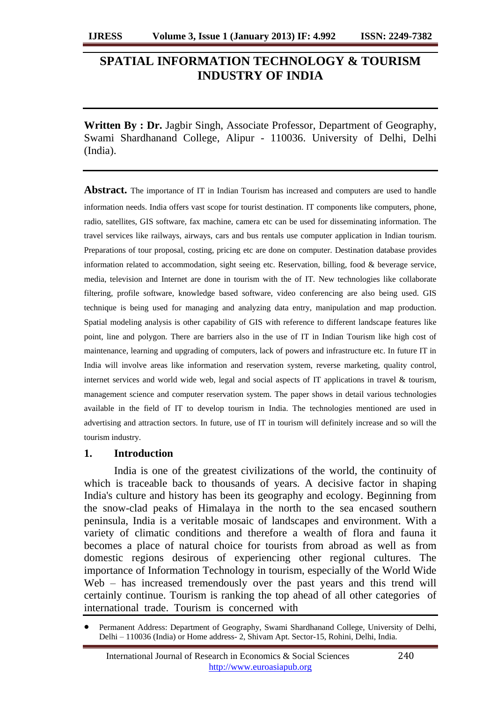# **SPATIAL INFORMATION TECHNOLOGY & TOURISM INDUSTRY OF INDIA**

**Written By : Dr.** Jagbir Singh, Associate Professor, Department of Geography, Swami Shardhanand College, Alipur - 110036. University of Delhi, Delhi (India).

**Abstract.** The importance of IT in Indian Tourism has increased and computers are used to handle information needs. India offers vast scope for tourist destination. IT components like computers, phone, radio, satellites, GIS software, fax machine, camera etc can be used for disseminating information. The travel services like railways, airways, cars and bus rentals use computer application in Indian tourism. Preparations of tour proposal, costing, pricing etc are done on computer. Destination database provides information related to accommodation, sight seeing etc. Reservation, billing, food & beverage service, media, television and Internet are done in tourism with the of IT. New technologies like collaborate filtering, profile software, knowledge based software, video conferencing are also being used. GIS technique is being used for managing and analyzing data entry, manipulation and map production. Spatial modeling analysis is other capability of GIS with reference to different landscape features like point, line and polygon. There are barriers also in the use of IT in Indian Tourism like high cost of maintenance, learning and upgrading of computers, lack of powers and infrastructure etc. In future IT in India will involve areas like information and reservation system, reverse marketing, quality control, internet services and world wide web, legal and social aspects of IT applications in travel & tourism, management science and computer reservation system. The paper shows in detail various technologies available in the field of IT to develop tourism in India. The technologies mentioned are used in advertising and attraction sectors. In future, use of IT in tourism will definitely increase and so will the tourism industry.

### **1. Introduction**

India is one of the greatest civilizations of the world, the continuity of which is traceable back to thousands of years. A decisive factor in shaping India's culture and history has been its geography and ecology. Beginning from the snow-clad peaks of Himalaya in the north to the sea encased southern peninsula, India is a veritable mosaic of landscapes and environment. With a variety of climatic conditions and therefore a wealth of flora and fauna it becomes a place of natural choice for tourists from abroad as well as from domestic regions desirous of experiencing other regional cultures. The importance of Information Technology in tourism, especially of the World Wide Web – has increased tremendously over the past years and this trend will certainly continue. Tourism is ranking the top ahead of all other categories of international trade. Tourism is concerned with

Permanent Address: Department of Geography, Swami Shardhanand College, University of Delhi, Delhi – 110036 (India) or Home address- 2, Shivam Apt. Sector-15, Rohini, Delhi, India.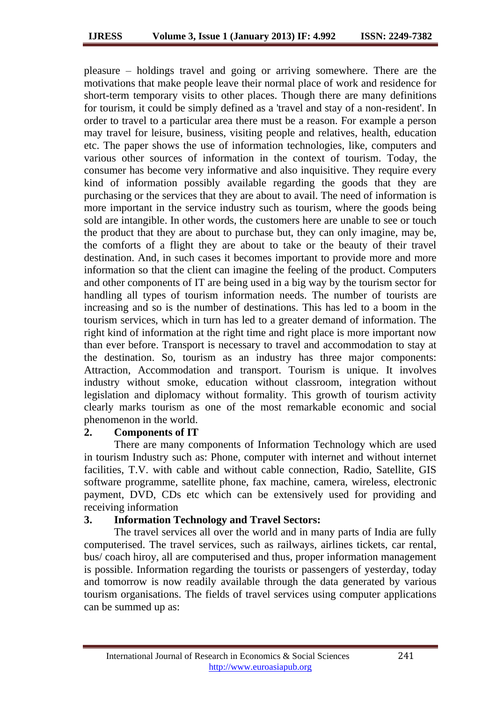pleasure – holdings travel and going or arriving somewhere. There are the motivations that make people leave their normal place of work and residence for short-term temporary visits to other places. Though there are many definitions for tourism, it could be simply defined as a 'travel and stay of a non-resident'. In order to travel to a particular area there must be a reason. For example a person may travel for leisure, business, visiting people and relatives, health, education etc. The paper shows the use of information technologies, like, computers and various other sources of information in the context of tourism. Today, the consumer has become very informative and also inquisitive. They require every kind of information possibly available regarding the goods that they are purchasing or the services that they are about to avail. The need of information is more important in the service industry such as tourism, where the goods being sold are intangible. In other words, the customers here are unable to see or touch the product that they are about to purchase but, they can only imagine, may be, the comforts of a flight they are about to take or the beauty of their travel destination. And, in such cases it becomes important to provide more and more information so that the client can imagine the feeling of the product. Computers and other components of IT are being used in a big way by the tourism sector for handling all types of tourism information needs. The number of tourists are increasing and so is the number of destinations. This has led to a boom in the tourism services, which in turn has led to a greater demand of information. The right kind of information at the right time and right place is more important now than ever before. Transport is necessary to travel and accommodation to stay at the destination. So, tourism as an industry has three major components: Attraction, Accommodation and transport. Tourism is unique. It involves industry without smoke, education without classroom, integration without legislation and diplomacy without formality. This growth of tourism activity clearly marks tourism as one of the most remarkable economic and social phenomenon in the world.

## **2. Components of IT**

There are many components of Information Technology which are used in tourism Industry such as: Phone, computer with internet and without internet facilities, T.V. with cable and without cable connection, Radio, Satellite, GIS software programme, satellite phone, fax machine, camera, wireless, electronic payment, DVD, CDs etc which can be extensively used for providing and receiving information

## **3. Information Technology and Travel Sectors:**

The travel services all over the world and in many parts of India are fully computerised. The travel services, such as railways, airlines tickets, car rental, bus/ coach hiroy, all are computerised and thus, proper information management is possible. Information regarding the tourists or passengers of yesterday, today and tomorrow is now readily available through the data generated by various tourism organisations. The fields of travel services using computer applications can be summed up as: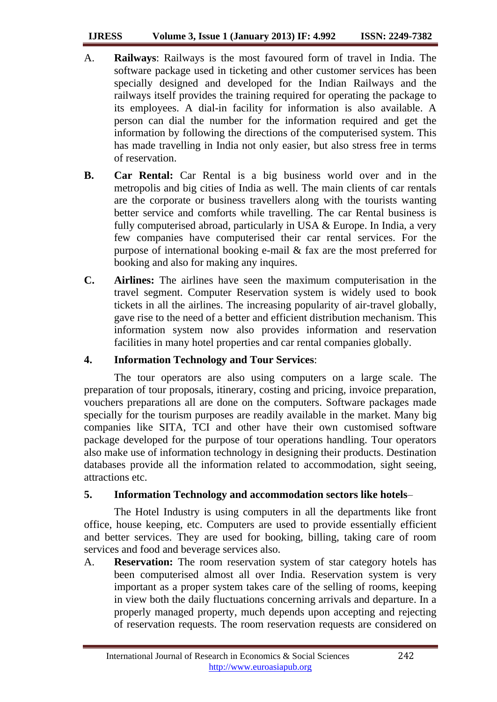#### **IJRESS Volume 3, Issue 1 (January 2013) IF: 4.992 ISSN: 2249-7382**

- A. **Railways**: Railways is the most favoured form of travel in India. The software package used in ticketing and other customer services has been specially designed and developed for the Indian Railways and the railways itself provides the training required for operating the package to its employees. A dial-in facility for information is also available. A person can dial the number for the information required and get the information by following the directions of the computerised system. This has made travelling in India not only easier, but also stress free in terms of reservation.
- **B. Car Rental:** Car Rental is a big business world over and in the metropolis and big cities of India as well. The main clients of car rentals are the corporate or business travellers along with the tourists wanting better service and comforts while travelling. The car Rental business is fully computerised abroad, particularly in USA & Europe. In India, a very few companies have computerised their car rental services. For the purpose of international booking e-mail & fax are the most preferred for booking and also for making any inquires.
- **C. Airlines:** The airlines have seen the maximum computerisation in the travel segment. Computer Reservation system is widely used to book tickets in all the airlines. The increasing popularity of air-travel globally, gave rise to the need of a better and efficient distribution mechanism. This information system now also provides information and reservation facilities in many hotel properties and car rental companies globally.

## **4. Information Technology and Tour Services**:

The tour operators are also using computers on a large scale. The preparation of tour proposals, itinerary, costing and pricing, invoice preparation, vouchers preparations all are done on the computers. Software packages made specially for the tourism purposes are readily available in the market. Many big companies like SITA, TCI and other have their own customised software package developed for the purpose of tour operations handling. Tour operators also make use of information technology in designing their products. Destination databases provide all the information related to accommodation, sight seeing, attractions etc.

# **5. Information Technology and accommodation sectors like hotels**–

The Hotel Industry is using computers in all the departments like front office, house keeping, etc. Computers are used to provide essentially efficient and better services. They are used for booking, billing, taking care of room services and food and beverage services also.

A. **Reservation:** The room reservation system of star category hotels has been computerised almost all over India. Reservation system is very important as a proper system takes care of the selling of rooms, keeping in view both the daily fluctuations concerning arrivals and departure. In a properly managed property, much depends upon accepting and rejecting of reservation requests. The room reservation requests are considered on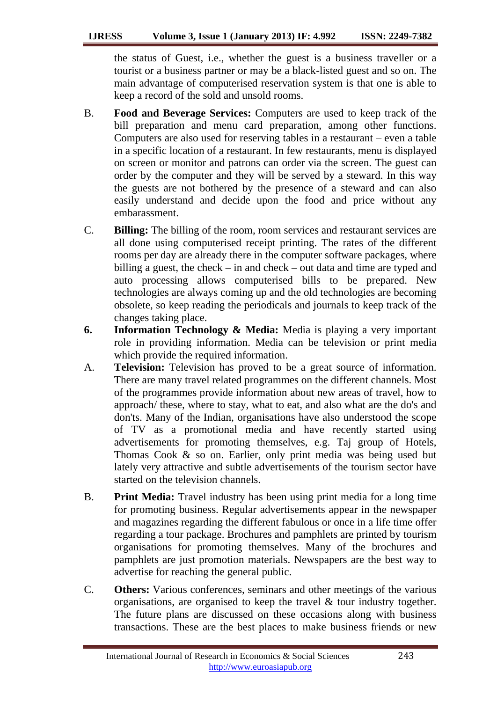### **IJRESS Volume 3, Issue 1 (January 2013) IF: 4.992 ISSN: 2249-7382**

the status of Guest, i.e., whether the guest is a business traveller or a tourist or a business partner or may be a black-listed guest and so on. The main advantage of computerised reservation system is that one is able to keep a record of the sold and unsold rooms.

- B. **Food and Beverage Services:** Computers are used to keep track of the bill preparation and menu card preparation, among other functions. Computers are also used for reserving tables in a restaurant – even a table in a specific location of a restaurant. In few restaurants, menu is displayed on screen or monitor and patrons can order via the screen. The guest can order by the computer and they will be served by a steward. In this way the guests are not bothered by the presence of a steward and can also easily understand and decide upon the food and price without any embarassment.
- C. **Billing:** The billing of the room, room services and restaurant services are all done using computerised receipt printing. The rates of the different rooms per day are already there in the computer software packages, where billing a guest, the check – in and check – out data and time are typed and auto processing allows computerised bills to be prepared. New technologies are always coming up and the old technologies are becoming obsolete, so keep reading the periodicals and journals to keep track of the changes taking place.
- **6. Information Technology & Media:** Media is playing a very important role in providing information. Media can be television or print media which provide the required information.
- A. **Television:** Television has proved to be a great source of information. There are many travel related programmes on the different channels. Most of the programmes provide information about new areas of travel, how to approach/ these, where to stay, what to eat, and also what are the do's and don'ts. Many of the Indian, organisations have also understood the scope of TV as a promotional media and have recently started using advertisements for promoting themselves, e.g. Taj group of Hotels, Thomas Cook & so on. Earlier, only print media was being used but lately very attractive and subtle advertisements of the tourism sector have started on the television channels.
- B. **Print Media:** Travel industry has been using print media for a long time for promoting business. Regular advertisements appear in the newspaper and magazines regarding the different fabulous or once in a life time offer regarding a tour package. Brochures and pamphlets are printed by tourism organisations for promoting themselves. Many of the brochures and pamphlets are just promotion materials. Newspapers are the best way to advertise for reaching the general public.
- C. **Others:** Various conferences, seminars and other meetings of the various organisations, are organised to keep the travel & tour industry together. The future plans are discussed on these occasions along with business transactions. These are the best places to make business friends or new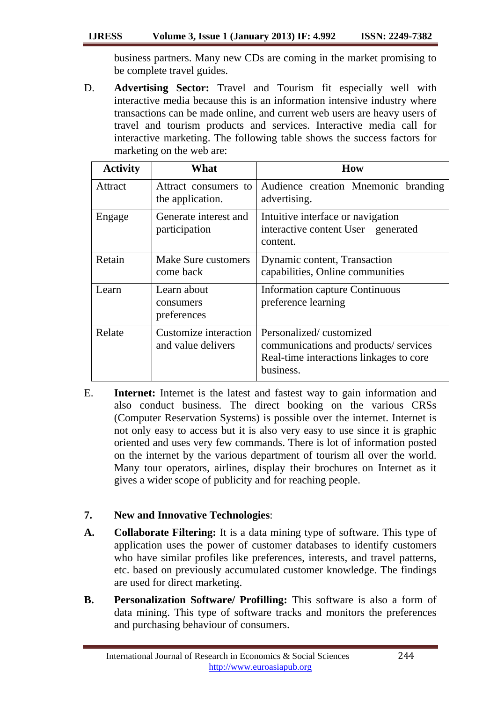business partners. Many new CDs are coming in the market promising to be complete travel guides.

D. **Advertising Sector:** Travel and Tourism fit especially well with interactive media because this is an information intensive industry where transactions can be made online, and current web users are heavy users of travel and tourism products and services. Interactive media call for interactive marketing. The following table shows the success factors for marketing on the web are:

| <b>Activity</b> | What                                        | How                                                                                                                     |
|-----------------|---------------------------------------------|-------------------------------------------------------------------------------------------------------------------------|
| Attract         | Attract consumers to<br>the application.    | Audience creation Mnemonic branding<br>advertising.                                                                     |
| Engage          | Generate interest and<br>participation      | Intuitive interface or navigation<br>interactive content User – generated<br>content.                                   |
| Retain          | Make Sure customers<br>come back            | Dynamic content, Transaction<br>capabilities, Online communities                                                        |
| Learn           | Learn about<br>consumers<br>preferences     | <b>Information capture Continuous</b><br>preference learning                                                            |
| Relate          | Customize interaction<br>and value delivers | Personalized/customized<br>communications and products/services<br>Real-time interactions linkages to core<br>business. |

E. **Internet:** Internet is the latest and fastest way to gain information and also conduct business. The direct booking on the various CRSs (Computer Reservation Systems) is possible over the internet. Internet is not only easy to access but it is also very easy to use since it is graphic oriented and uses very few commands. There is lot of information posted on the internet by the various department of tourism all over the world. Many tour operators, airlines, display their brochures on Internet as it gives a wider scope of publicity and for reaching people.

# **7. New and Innovative Technologies**:

- **A. Collaborate Filtering:** It is a data mining type of software. This type of application uses the power of customer databases to identify customers who have similar profiles like preferences, interests, and travel patterns, etc. based on previously accumulated customer knowledge. The findings are used for direct marketing.
- **B. Personalization Software/ Profilling:** This software is also a form of data mining. This type of software tracks and monitors the preferences and purchasing behaviour of consumers.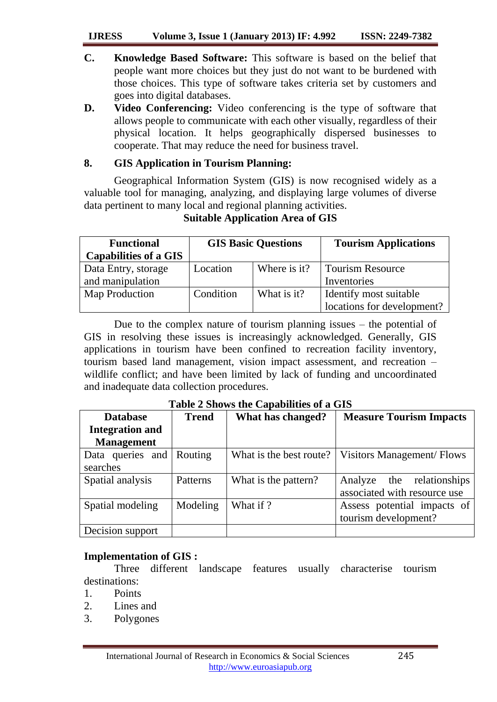### **IJRESS Volume 3, Issue 1 (January 2013) IF: 4.992 ISSN: 2249-7382**

- **C. Knowledge Based Software:** This software is based on the belief that people want more choices but they just do not want to be burdened with those choices. This type of software takes criteria set by customers and goes into digital databases.
- **D. Video Conferencing:** Video conferencing is the type of software that allows people to communicate with each other visually, regardless of their physical location. It helps geographically dispersed businesses to cooperate. That may reduce the need for business travel.

# **8. GIS Application in Tourism Planning:**

Geographical Information System (GIS) is now recognised widely as a valuable tool for managing, analyzing, and displaying large volumes of diverse data pertinent to many local and regional planning activities.

| <b>Functional</b>            | <b>GIS Basic Questions</b> |              | <b>Tourism Applications</b> |
|------------------------------|----------------------------|--------------|-----------------------------|
| <b>Capabilities of a GIS</b> |                            |              |                             |
| Data Entry, storage          | Location                   | Where is it? | <b>Tourism Resource</b>     |
| and manipulation             |                            |              | Inventories                 |
| Map Production               | Condition                  | What is it?  | Identify most suitable      |
|                              |                            |              | locations for development?  |

# **Suitable Application Area of GIS**

Due to the complex nature of tourism planning issues – the potential of GIS in resolving these issues is increasingly acknowledged. Generally, GIS applications in tourism have been confined to recreation facility inventory, tourism based land management, vision impact assessment, and recreation – wildlife conflict; and have been limited by lack of funding and uncoordinated and inadequate data collection procedures.

| Table 2 Shows the Capabilities of a GIS |  |  |  |  |
|-----------------------------------------|--|--|--|--|
|-----------------------------------------|--|--|--|--|

| <b>Database</b>        | <b>Trend</b> | What has changed?       | <b>Measure Tourism Impacts</b>   |
|------------------------|--------------|-------------------------|----------------------------------|
| <b>Integration and</b> |              |                         |                                  |
| <b>Management</b>      |              |                         |                                  |
| Data queries and       | Routing      | What is the best route? | <b>Visitors Management/Flows</b> |
| searches               |              |                         |                                  |
| Spatial analysis       | Patterns     | What is the pattern?    | the relationships<br>Analyze     |
|                        |              |                         | associated with resource use     |
| Spatial modeling       | Modeling     | What if ?               | Assess potential impacts of      |
|                        |              |                         | tourism development?             |
| Decision support       |              |                         |                                  |

## **Implementation of GIS :**

Three different landscape features usually characterise tourism destinations:

- 1. Points
- 2. Lines and
- 3. Polygones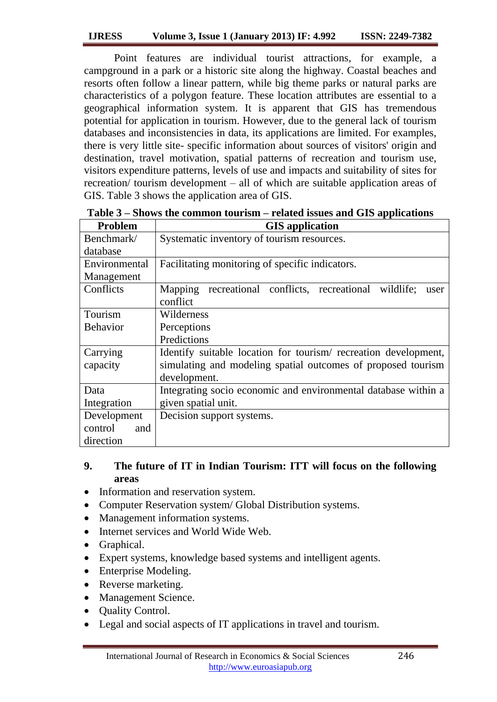Point features are individual tourist attractions, for example, a campground in a park or a historic site along the highway. Coastal beaches and resorts often follow a linear pattern, while big theme parks or natural parks are characteristics of a polygon feature. These location attributes are essential to a geographical information system. It is apparent that GIS has tremendous potential for application in tourism. However, due to the general lack of tourism databases and inconsistencies in data, its applications are limited. For examples, there is very little site- specific information about sources of visitors' origin and destination, travel motivation, spatial patterns of recreation and tourism use, visitors expenditure patterns, levels of use and impacts and suitability of sites for recreation/ tourism development – all of which are suitable application areas of GIS. Table 3 shows the application area of GIS.

| <b>Problem</b>  | <b>GIS</b> application                                            |  |  |
|-----------------|-------------------------------------------------------------------|--|--|
| Benchmark/      | Systematic inventory of tourism resources.                        |  |  |
| database        |                                                                   |  |  |
| Environmental   | Facilitating monitoring of specific indicators.                   |  |  |
| Management      |                                                                   |  |  |
| Conflicts       | recreational conflicts, recreational wildlife;<br>Mapping<br>user |  |  |
|                 | conflict                                                          |  |  |
| Tourism         | Wilderness                                                        |  |  |
| <b>Behavior</b> | Perceptions                                                       |  |  |
|                 | Predictions                                                       |  |  |
| Carrying        | Identify suitable location for tourism/ recreation development,   |  |  |
| capacity        | simulating and modeling spatial outcomes of proposed tourism      |  |  |
|                 | development.                                                      |  |  |
| Data            | Integrating socio economic and environmental database within a    |  |  |
| Integration     | given spatial unit.                                               |  |  |
| Development     | Decision support systems.                                         |  |  |
| control<br>and  |                                                                   |  |  |
| direction       |                                                                   |  |  |

**Table 3 – Shows the common tourism – related issues and GIS applications**

# **9. The future of IT in Indian Tourism: ITT will focus on the following areas**

- Information and reservation system.
- Computer Reservation system/ Global Distribution systems.
- Management information systems.
- Internet services and World Wide Web.
- Graphical.
- Expert systems, knowledge based systems and intelligent agents.
- Enterprise Modeling.
- Reverse marketing.
- Management Science.
- Quality Control.
- Legal and social aspects of IT applications in travel and tourism.